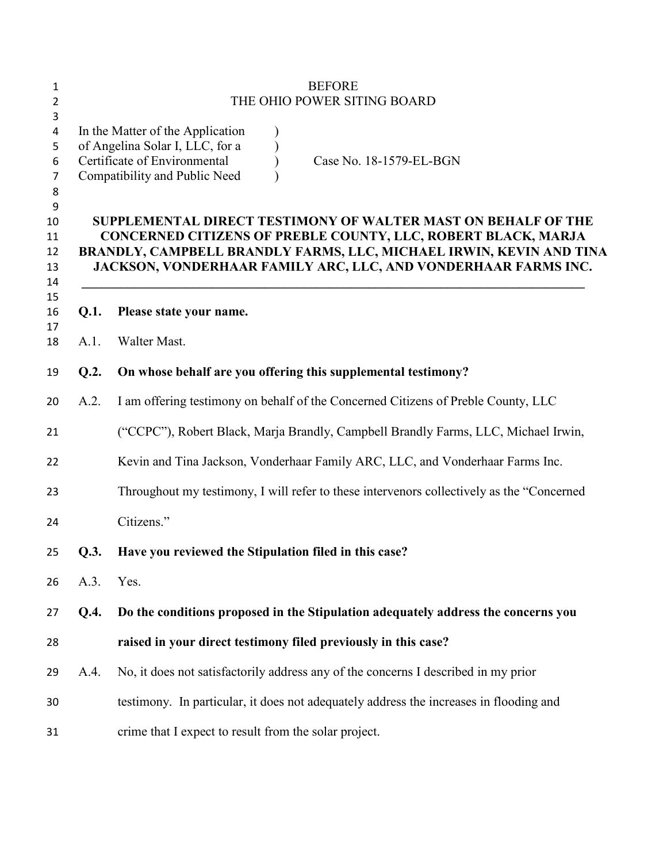|      | <b>BEFORE</b>                                                                                                                                                                                                                                                           |
|------|-------------------------------------------------------------------------------------------------------------------------------------------------------------------------------------------------------------------------------------------------------------------------|
|      | THE OHIO POWER SITING BOARD                                                                                                                                                                                                                                             |
|      | In the Matter of the Application<br>of Angelina Solar I, LLC, for a<br>Certificate of Environmental<br>Case No. 18-1579-EL-BGN<br>Compatibility and Public Need                                                                                                         |
|      | SUPPLEMENTAL DIRECT TESTIMONY OF WALTER MAST ON BEHALF OF THE<br>CONCERNED CITIZENS OF PREBLE COUNTY, LLC, ROBERT BLACK, MARJA<br>BRANDLY, CAMPBELL BRANDLY FARMS, LLC, MICHAEL IRWIN, KEVIN AND TINA<br>JACKSON, VONDERHAAR FAMILY ARC, LLC, AND VONDERHAAR FARMS INC. |
| Q.1. | Please state your name.                                                                                                                                                                                                                                                 |
| A.1. | Walter Mast.                                                                                                                                                                                                                                                            |
| Q.2. | On whose behalf are you offering this supplemental testimony?                                                                                                                                                                                                           |
| A.2. | I am offering testimony on behalf of the Concerned Citizens of Preble County, LLC                                                                                                                                                                                       |
|      | ("CCPC"), Robert Black, Marja Brandly, Campbell Brandly Farms, LLC, Michael Irwin,                                                                                                                                                                                      |
|      | Kevin and Tina Jackson, Vonderhaar Family ARC, LLC, and Vonderhaar Farms Inc.                                                                                                                                                                                           |
|      | Throughout my testimony, I will refer to these intervenors collectively as the "Concerned"                                                                                                                                                                              |
|      | Citizens."                                                                                                                                                                                                                                                              |
| Q.3. | Have you reviewed the Stipulation filed in this case?                                                                                                                                                                                                                   |
| A.3. | Yes.                                                                                                                                                                                                                                                                    |
| Q.4. | Do the conditions proposed in the Stipulation adequately address the concerns you                                                                                                                                                                                       |
|      | raised in your direct testimony filed previously in this case?                                                                                                                                                                                                          |
| A.4. | No, it does not satisfactorily address any of the concerns I described in my prior                                                                                                                                                                                      |
|      | testimony. In particular, it does not adequately address the increases in flooding and                                                                                                                                                                                  |
|      | crime that I expect to result from the solar project.                                                                                                                                                                                                                   |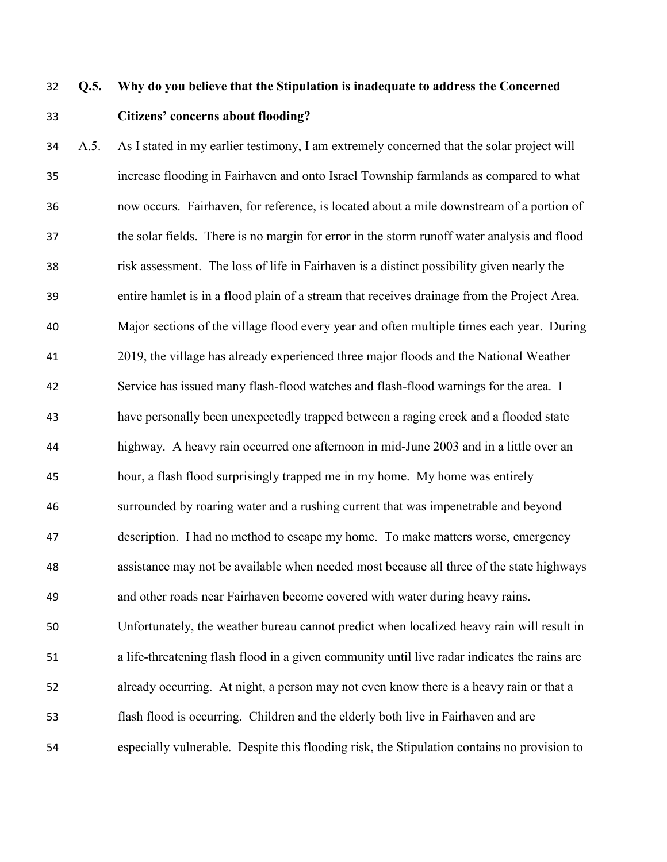# **Q.5. Why do you believe that the Stipulation is inadequate to address the Concerned Citizens' concerns about flooding?**

 A.5. As I stated in my earlier testimony, I am extremely concerned that the solar project will increase flooding in Fairhaven and onto Israel Township farmlands as compared to what now occurs. Fairhaven, for reference, is located about a mile downstream of a portion of the solar fields. There is no margin for error in the storm runoff water analysis and flood risk assessment. The loss of life in Fairhaven is a distinct possibility given nearly the entire hamlet is in a flood plain of a stream that receives drainage from the Project Area. Major sections of the village flood every year and often multiple times each year. During 2019, the village has already experienced three major floods and the National Weather Service has issued many flash-flood watches and flash-flood warnings for the area. I have personally been unexpectedly trapped between a raging creek and a flooded state highway. A heavy rain occurred one afternoon in mid-June 2003 and in a little over an hour, a flash flood surprisingly trapped me in my home. My home was entirely surrounded by roaring water and a rushing current that was impenetrable and beyond description. I had no method to escape my home. To make matters worse, emergency assistance may not be available when needed most because all three of the state highways and other roads near Fairhaven become covered with water during heavy rains. Unfortunately, the weather bureau cannot predict when localized heavy rain will result in a life-threatening flash flood in a given community until live radar indicates the rains are already occurring. At night, a person may not even know there is a heavy rain or that a flash flood is occurring. Children and the elderly both live in Fairhaven and are especially vulnerable. Despite this flooding risk, the Stipulation contains no provision to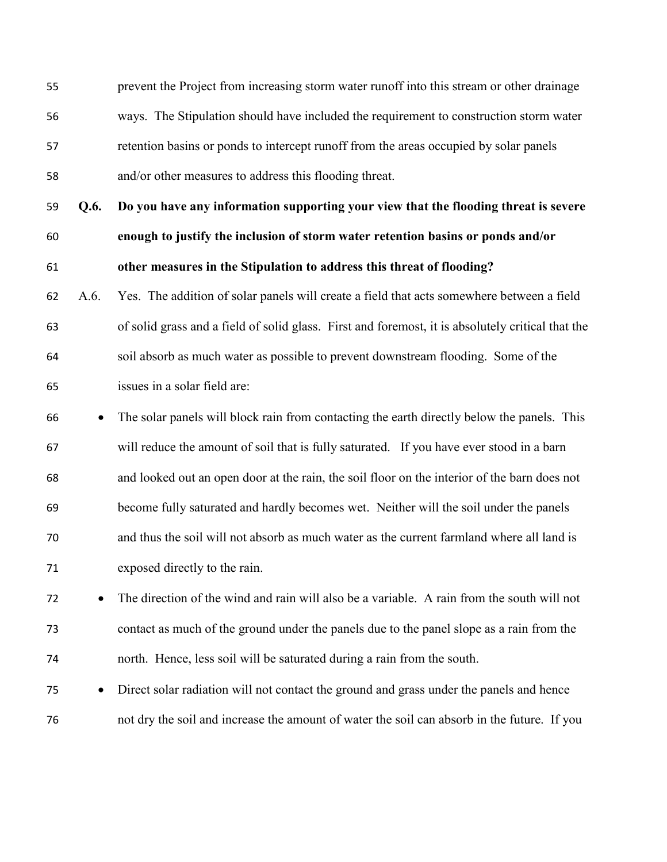prevent the Project from increasing storm water runoff into this stream or other drainage ways. The Stipulation should have included the requirement to construction storm water retention basins or ponds to intercept runoff from the areas occupied by solar panels and/or other measures to address this flooding threat.

 **Q.6. Do you have any information supporting your view that the flooding threat is severe enough to justify the inclusion of storm water retention basins or ponds and/or other measures in the Stipulation to address this threat of flooding?** 

- A.6. Yes. The addition of solar panels will create a field that acts somewhere between a field of solid grass and a field of solid glass. First and foremost, it is absolutely critical that the soil absorb as much water as possible to prevent downstream flooding. Some of the issues in a solar field are:
- The solar panels will block rain from contacting the earth directly below the panels. This will reduce the amount of soil that is fully saturated. If you have ever stood in a barn and looked out an open door at the rain, the soil floor on the interior of the barn does not become fully saturated and hardly becomes wet. Neither will the soil under the panels and thus the soil will not absorb as much water as the current farmland where all land is exposed directly to the rain.

 The direction of the wind and rain will also be a variable. A rain from the south will not contact as much of the ground under the panels due to the panel slope as a rain from the north. Hence, less soil will be saturated during a rain from the south.

 Direct solar radiation will not contact the ground and grass under the panels and hence not dry the soil and increase the amount of water the soil can absorb in the future. If you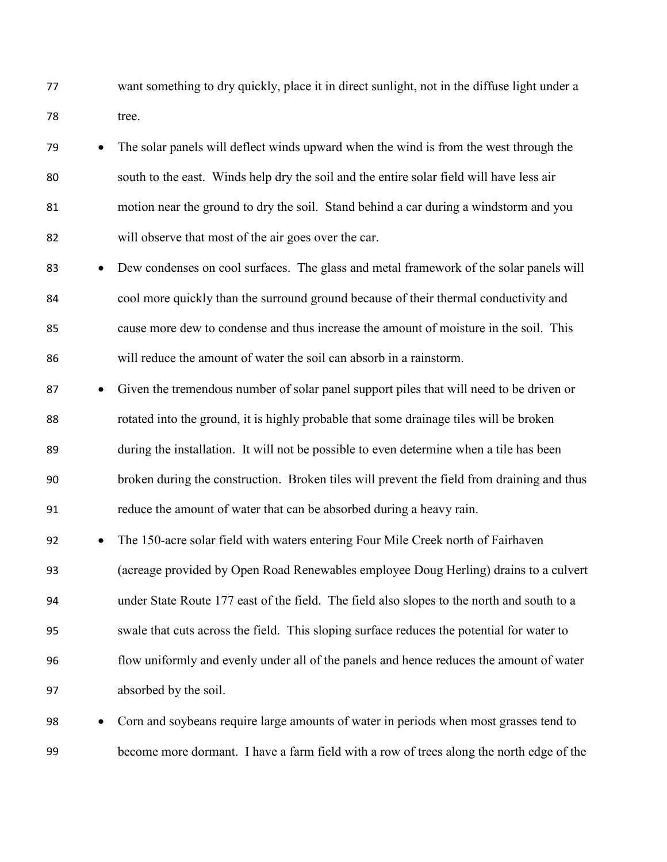want something to dry quickly, place it in direct sunlight, not in the diffuse light under a tree.

 The solar panels will deflect winds upward when the wind is from the west through the south to the east. Winds help dry the soil and the entire solar field will have less air motion near the ground to dry the soil. Stand behind a car during a windstorm and you will observe that most of the air goes over the car.

**Dew condenses on cool surfaces.** The glass and metal framework of the solar panels will cool more quickly than the surround ground because of their thermal conductivity and cause more dew to condense and thus increase the amount of moisture in the soil. This will reduce the amount of water the soil can absorb in a rainstorm.

87 • Given the tremendous number of solar panel support piles that will need to be driven or rotated into the ground, it is highly probable that some drainage tiles will be broken during the installation. It will not be possible to even determine when a tile has been broken during the construction. Broken tiles will prevent the field from draining and thus reduce the amount of water that can be absorbed during a heavy rain.

 The 150-acre solar field with waters entering Four Mile Creek north of Fairhaven (acreage provided by Open Road Renewables employee Doug Herling) drains to a culvert under State Route 177 east of the field. The field also slopes to the north and south to a swale that cuts across the field. This sloping surface reduces the potential for water to flow uniformly and evenly under all of the panels and hence reduces the amount of water absorbed by the soil.

 Corn and soybeans require large amounts of water in periods when most grasses tend to become more dormant. I have a farm field with a row of trees along the north edge of the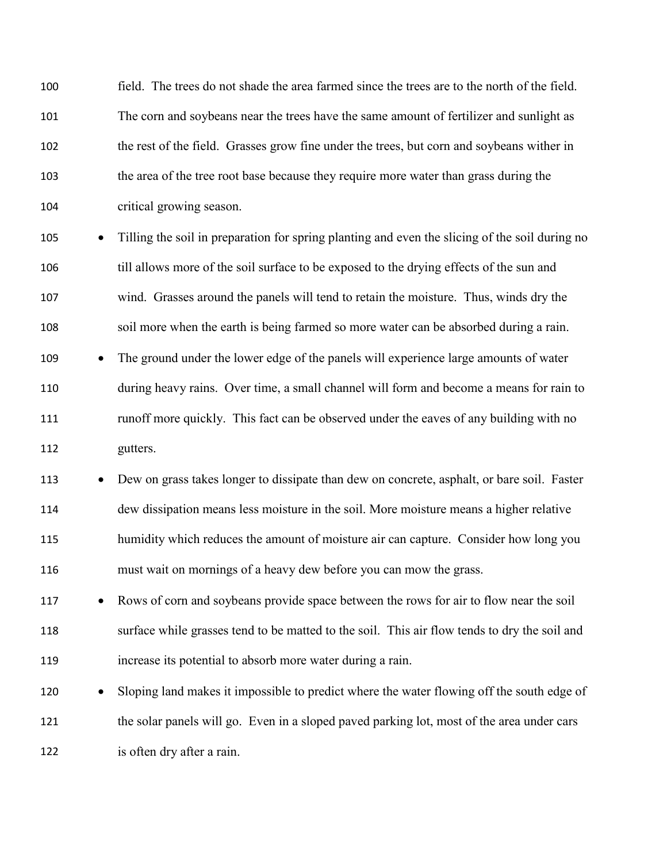field. The trees do not shade the area farmed since the trees are to the north of the field. The corn and soybeans near the trees have the same amount of fertilizer and sunlight as the rest of the field. Grasses grow fine under the trees, but corn and soybeans wither in the area of the tree root base because they require more water than grass during the critical growing season.

105 • Tilling the soil in preparation for spring planting and even the slicing of the soil during no till allows more of the soil surface to be exposed to the drying effects of the sun and wind. Grasses around the panels will tend to retain the moisture. Thus, winds dry the soil more when the earth is being farmed so more water can be absorbed during a rain.

109 • The ground under the lower edge of the panels will experience large amounts of water during heavy rains. Over time, a small channel will form and become a means for rain to 111 runoff more quickly. This fact can be observed under the eaves of any building with no gutters.

113 • Dew on grass takes longer to dissipate than dew on concrete, asphalt, or bare soil. Faster dew dissipation means less moisture in the soil. More moisture means a higher relative humidity which reduces the amount of moisture air can capture. Consider how long you must wait on mornings of a heavy dew before you can mow the grass.

 Rows of corn and soybeans provide space between the rows for air to flow near the soil surface while grasses tend to be matted to the soil. This air flow tends to dry the soil and increase its potential to absorb more water during a rain.

120 • Sloping land makes it impossible to predict where the water flowing off the south edge of the solar panels will go. Even in a sloped paved parking lot, most of the area under cars is often dry after a rain.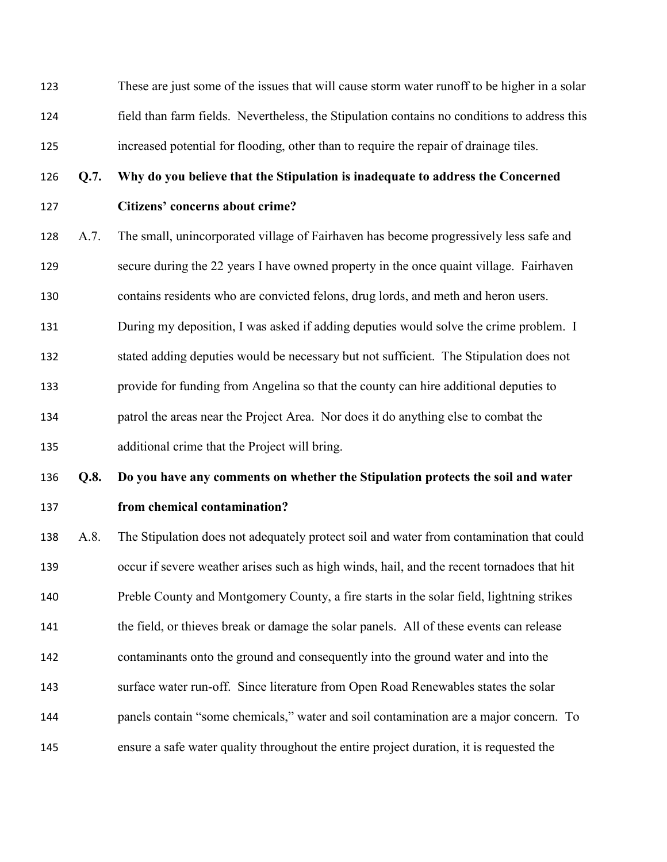These are just some of the issues that will cause storm water runoff to be higher in a solar field than farm fields. Nevertheless, the Stipulation contains no conditions to address this increased potential for flooding, other than to require the repair of drainage tiles.

#### **Q.7. Why do you believe that the Stipulation is inadequate to address the Concerned**

## **Citizens' concerns about crime?**

 A.7. The small, unincorporated village of Fairhaven has become progressively less safe and secure during the 22 years I have owned property in the once quaint village. Fairhaven contains residents who are convicted felons, drug lords, and meth and heron users.

During my deposition, I was asked if adding deputies would solve the crime problem. I

stated adding deputies would be necessary but not sufficient. The Stipulation does not

provide for funding from Angelina so that the county can hire additional deputies to

patrol the areas near the Project Area. Nor does it do anything else to combat the

additional crime that the Project will bring.

# **Q.8. Do you have any comments on whether the Stipulation protects the soil and water**

**from chemical contamination?** 

 A.8. The Stipulation does not adequately protect soil and water from contamination that could occur if severe weather arises such as high winds, hail, and the recent tornadoes that hit Preble County and Montgomery County, a fire starts in the solar field, lightning strikes the field, or thieves break or damage the solar panels. All of these events can release contaminants onto the ground and consequently into the ground water and into the surface water run-off. Since literature from Open Road Renewables states the solar panels contain "some chemicals," water and soil contamination are a major concern. To ensure a safe water quality throughout the entire project duration, it is requested the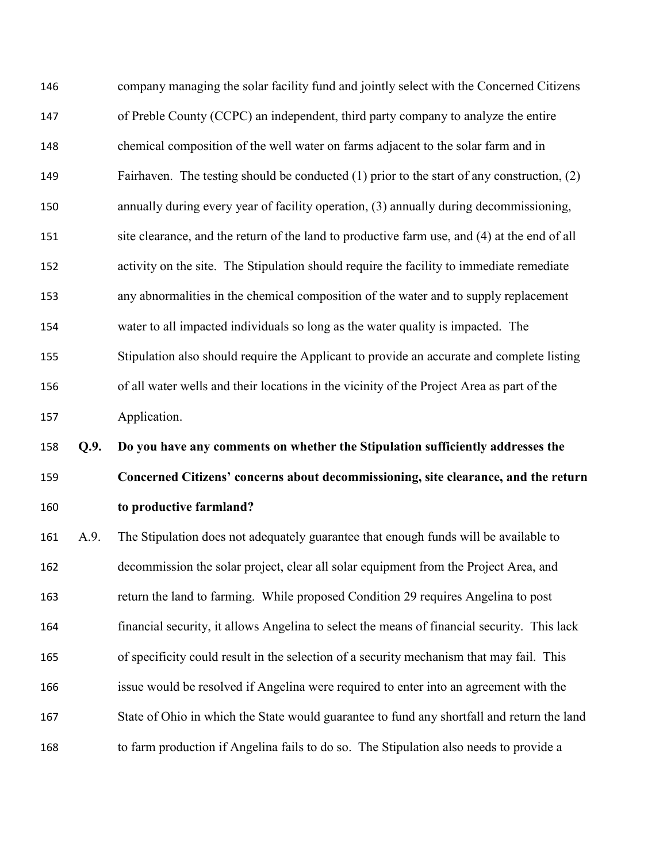company managing the solar facility fund and jointly select with the Concerned Citizens of Preble County (CCPC) an independent, third party company to analyze the entire chemical composition of the well water on farms adjacent to the solar farm and in Fairhaven. The testing should be conducted (1) prior to the start of any construction, (2) annually during every year of facility operation, (3) annually during decommissioning, 151 site clearance, and the return of the land to productive farm use, and (4) at the end of all activity on the site. The Stipulation should require the facility to immediate remediate any abnormalities in the chemical composition of the water and to supply replacement water to all impacted individuals so long as the water quality is impacted. The Stipulation also should require the Applicant to provide an accurate and complete listing of all water wells and their locations in the vicinity of the Project Area as part of the Application.

 **Q.9. Do you have any comments on whether the Stipulation sufficiently addresses the Concerned Citizens' concerns about decommissioning, site clearance, and the return to productive farmland?**

 A.9. The Stipulation does not adequately guarantee that enough funds will be available to decommission the solar project, clear all solar equipment from the Project Area, and return the land to farming. While proposed Condition 29 requires Angelina to post financial security, it allows Angelina to select the means of financial security. This lack of specificity could result in the selection of a security mechanism that may fail. This issue would be resolved if Angelina were required to enter into an agreement with the State of Ohio in which the State would guarantee to fund any shortfall and return the land to farm production if Angelina fails to do so. The Stipulation also needs to provide a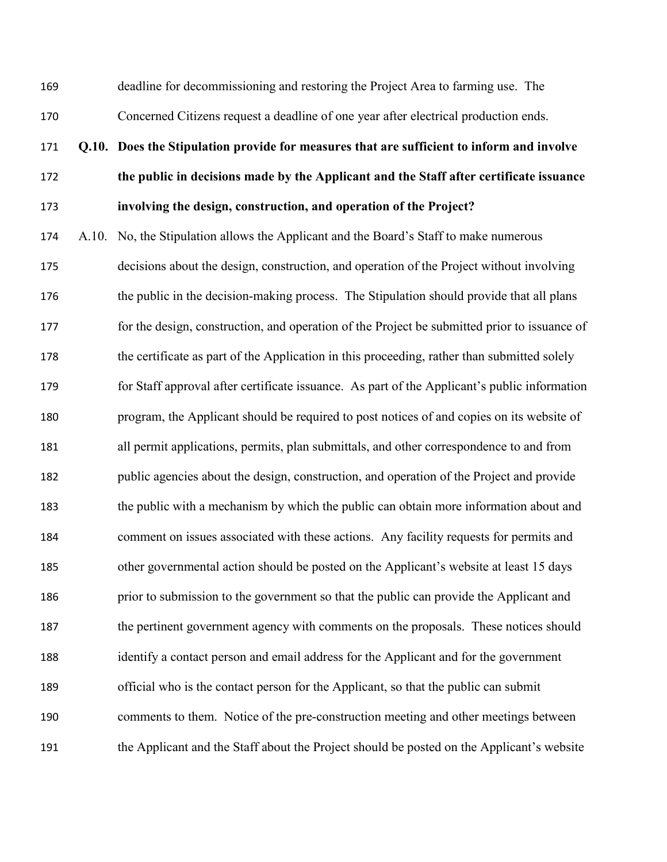deadline for decommissioning and restoring the Project Area to farming use. The Concerned Citizens request a deadline of one year after electrical production ends.

#### **Q.10. Does the Stipulation provide for measures that are sufficient to inform and involve**

**the public in decisions made by the Applicant and the Staff after certificate issuance**

**involving the design, construction, and operation of the Project?** 

 A.10. No, the Stipulation allows the Applicant and the Board's Staff to make numerous decisions about the design, construction, and operation of the Project without involving 176 the public in the decision-making process. The Stipulation should provide that all plans for the design, construction, and operation of the Project be submitted prior to issuance of the certificate as part of the Application in this proceeding, rather than submitted solely for Staff approval after certificate issuance. As part of the Applicant's public information program, the Applicant should be required to post notices of and copies on its website of all permit applications, permits, plan submittals, and other correspondence to and from public agencies about the design, construction, and operation of the Project and provide the public with a mechanism by which the public can obtain more information about and comment on issues associated with these actions. Any facility requests for permits and other governmental action should be posted on the Applicant's website at least 15 days prior to submission to the government so that the public can provide the Applicant and the pertinent government agency with comments on the proposals. These notices should identify a contact person and email address for the Applicant and for the government official who is the contact person for the Applicant, so that the public can submit comments to them. Notice of the pre-construction meeting and other meetings between the Applicant and the Staff about the Project should be posted on the Applicant's website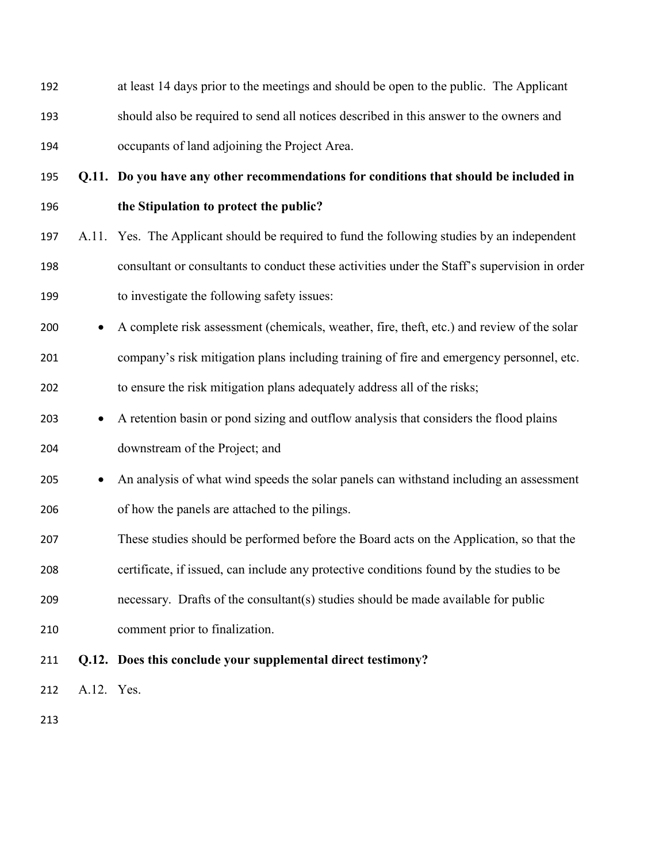at least 14 days prior to the meetings and should be open to the public. The Applicant should also be required to send all notices described in this answer to the owners and occupants of land adjoining the Project Area.

**Q.11. Do you have any other recommendations for conditions that should be included in** 

## **the Stipulation to protect the public?**

- A.11. Yes. The Applicant should be required to fund the following studies by an independent consultant or consultants to conduct these activities under the Staff's supervision in order to investigate the following safety issues:
- 200 A complete risk assessment (chemicals, weather, fire, theft, etc.) and review of the solar company's risk mitigation plans including training of fire and emergency personnel, etc. to ensure the risk mitigation plans adequately address all of the risks;
- 203 A retention basin or pond sizing and outflow analysis that considers the flood plains downstream of the Project; and

# 205 • An analysis of what wind speeds the solar panels can withstand including an assessment of how the panels are attached to the pilings.

These studies should be performed before the Board acts on the Application, so that the

certificate, if issued, can include any protective conditions found by the studies to be

- necessary. Drafts of the consultant(s) studies should be made available for public
- comment prior to finalization.

# **Q.12. Does this conclude your supplemental direct testimony?**

A.12. Yes.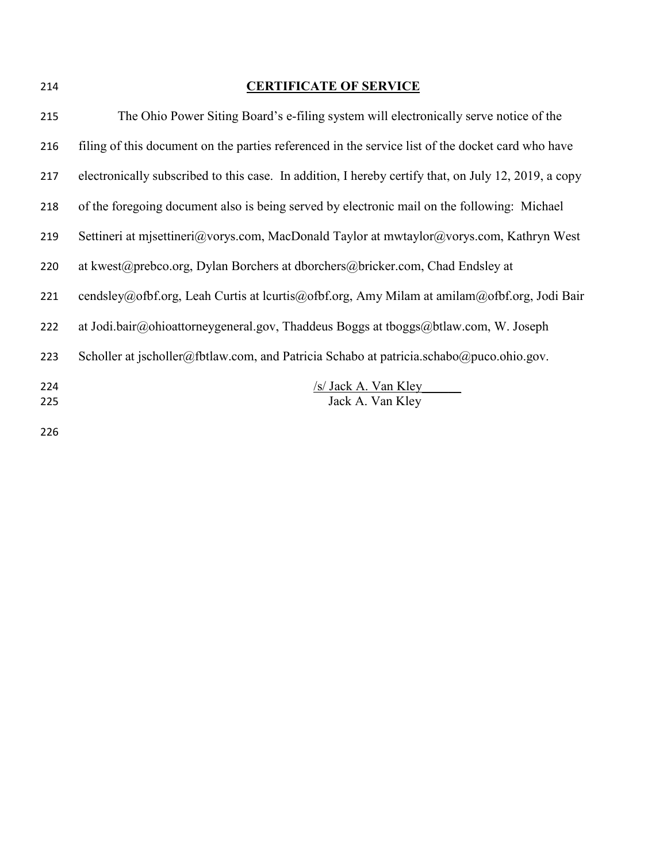| 214        | <b>CERTIFICATE OF SERVICE</b>                                                                        |
|------------|------------------------------------------------------------------------------------------------------|
| 215        | The Ohio Power Siting Board's e-filing system will electronically serve notice of the                |
| 216        | filing of this document on the parties referenced in the service list of the docket card who have    |
| 217        | electronically subscribed to this case. In addition, I hereby certify that, on July 12, 2019, a copy |
| 218        | of the foregoing document also is being served by electronic mail on the following: Michael          |
| 219        | Settineri at misettineri@vorys.com, MacDonald Taylor at mwtaylor@vorys.com, Kathryn West             |
| 220        | at kwest@prebco.org, Dylan Borchers at dborchers@bricker.com, Chad Endsley at                        |
| 221        | cendsley@ofbf.org, Leah Curtis at lcurtis@ofbf.org, Amy Milam at amilam@ofbf.org, Jodi Bair          |
| 222        | at Jodi.bair@ohioattorneygeneral.gov, Thaddeus Boggs at tboggs@btlaw.com, W. Joseph                  |
| 223        | Scholler at jscholler@fbtlaw.com, and Patricia Schabo at patricia.schabo@puco.ohio.gov.              |
| 224<br>225 | /s/ Jack A. Van Kley<br>Jack A. Van Kley                                                             |